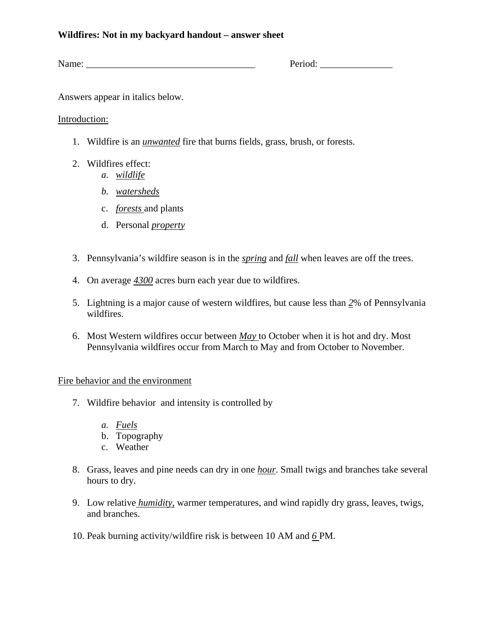### **Wildfires: Not in my backyard handout – answer sheet**

Name: Name: 2008 Period: 2008 Period: 2008 Period: 2008 Period: 2008 Period: 2008 Period: 2008 Period: 2008 Period: 2008 Period: 2008 Period: 2008 Period: 2008 Period: 2008 Period: 2008 Period: 2008 Period: 2008 Period: 20

Answers appear in italics below.

# Introduction:

- 1. Wildfire is an *unwanted* fire that burns fields, grass, brush, or forests.
- 2. Wildfires effect:
	- *a. wildlife*
	- *b. watersheds*
	- c. *forests* and plants
	- d. Personal *property*
- 3. Pennsylvania's wildfire season is in the *spring* and *fall* when leaves are off the trees.
- 4. On average *4300* acres burn each year due to wildfires.
- 5. Lightning is a major cause of western wildfires, but cause less than *2*% of Pennsylvania wildfires.
- 6. Most Western wildfires occur between *May* to October when it is hot and dry. Most Pennsylvania wildfires occur from March to May and from October to November.

# Fire behavior and the environment

- 7. Wildfire behavior and intensity is controlled by
	- *a. Fuels*
	- b. Topography
	- c. Weather
- 8. Grass, leaves and pine needs can dry in one *hour*. Small twigs and branches take several hours to dry.
- 9. Low relative *humidity*, warmer temperatures, and wind rapidly dry grass, leaves, twigs, and branches.
- 10. Peak burning activity/wildfire risk is between 10 AM and *6* PM.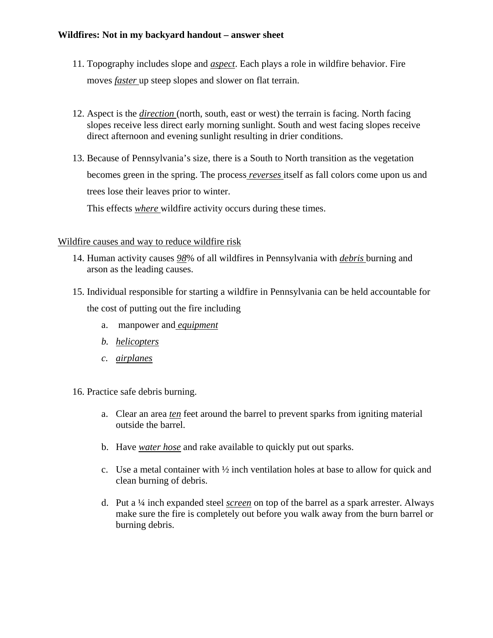### **Wildfires: Not in my backyard handout – answer sheet**

- 11. Topography includes slope and *aspect*. Each plays a role in wildfire behavior. Fire moves *faster* up steep slopes and slower on flat terrain.
- 12. Aspect is the *direction* (north, south, east or west) the terrain is facing. North facing slopes receive less direct early morning sunlight. South and west facing slopes receive direct afternoon and evening sunlight resulting in drier conditions.
- 13. Because of Pennsylvania's size, there is a South to North transition as the vegetation becomes green in the spring. The process *reverses* itself as fall colors come upon us and trees lose their leaves prior to winter.

This effects *where* wildfire activity occurs during these times.

# Wildfire causes and way to reduce wildfire risk

- 14. Human activity causes *98*% of all wildfires in Pennsylvania with *debris* burning and arson as the leading causes.
- 15. Individual responsible for starting a wildfire in Pennsylvania can be held accountable for the cost of putting out the fire including
	- a. manpower and *equipment*
	- *b. helicopters*
	- *c. airplanes*

16. Practice safe debris burning.

- a. Clear an area *ten* feet around the barrel to prevent sparks from igniting material outside the barrel.
- b. Have *water hose* and rake available to quickly put out sparks.
- c. Use a metal container with ½ inch ventilation holes at base to allow for quick and clean burning of debris.
- d. Put a ¼ inch expanded steel *screen* on top of the barrel as a spark arrester. Always make sure the fire is completely out before you walk away from the burn barrel or burning debris.